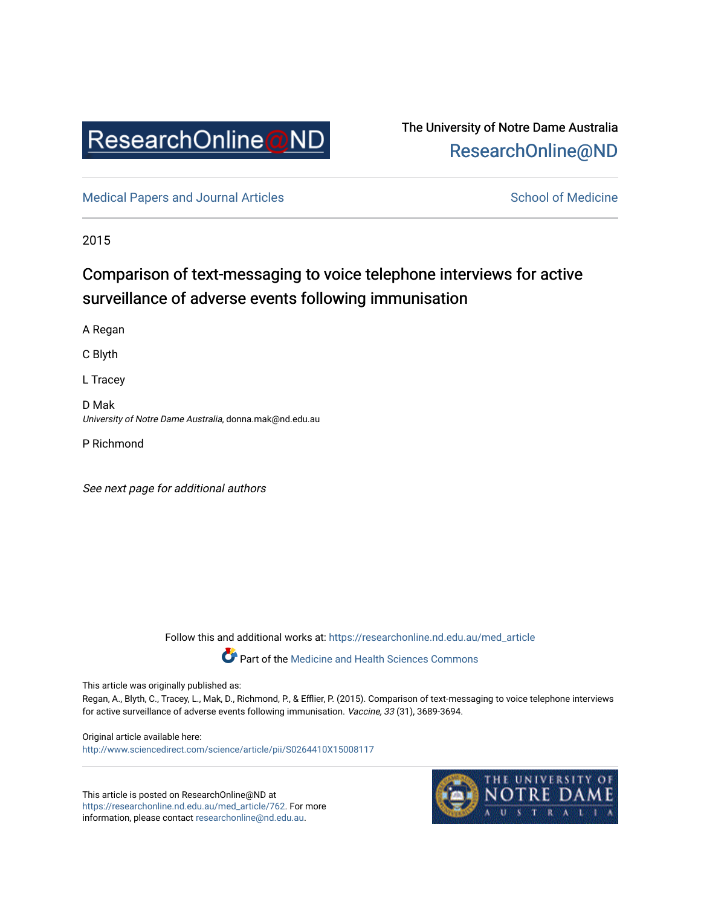

# The University of Notre Dame Australia [ResearchOnline@ND](https://researchonline.nd.edu.au/)

[Medical Papers and Journal Articles](https://researchonline.nd.edu.au/med_article) and School of Medicine

2015

# Comparison of text-messaging to voice telephone interviews for active surveillance of adverse events following immunisation

A Regan

C Blyth

L Tracey

D Mak University of Notre Dame Australia, donna.mak@nd.edu.au

P Richmond

See next page for additional authors

Follow this and additional works at: [https://researchonline.nd.edu.au/med\\_article](https://researchonline.nd.edu.au/med_article?utm_source=researchonline.nd.edu.au%2Fmed_article%2F762&utm_medium=PDF&utm_campaign=PDFCoverPages) 

Part of the [Medicine and Health Sciences Commons](http://network.bepress.com/hgg/discipline/648?utm_source=researchonline.nd.edu.au%2Fmed_article%2F762&utm_medium=PDF&utm_campaign=PDFCoverPages)

This article was originally published as:

Regan, A., Blyth, C., Tracey, L., Mak, D., Richmond, P., & Efflier, P. (2015). Comparison of text-messaging to voice telephone interviews for active surveillance of adverse events following immunisation. Vaccine, 33 (31), 3689-3694.

Original article available here:

<http://www.sciencedirect.com/science/article/pii/S0264410X15008117>

This article is posted on ResearchOnline@ND at [https://researchonline.nd.edu.au/med\\_article/762](https://researchonline.nd.edu.au/med_article/762). For more information, please contact [researchonline@nd.edu.au.](mailto:researchonline@nd.edu.au)

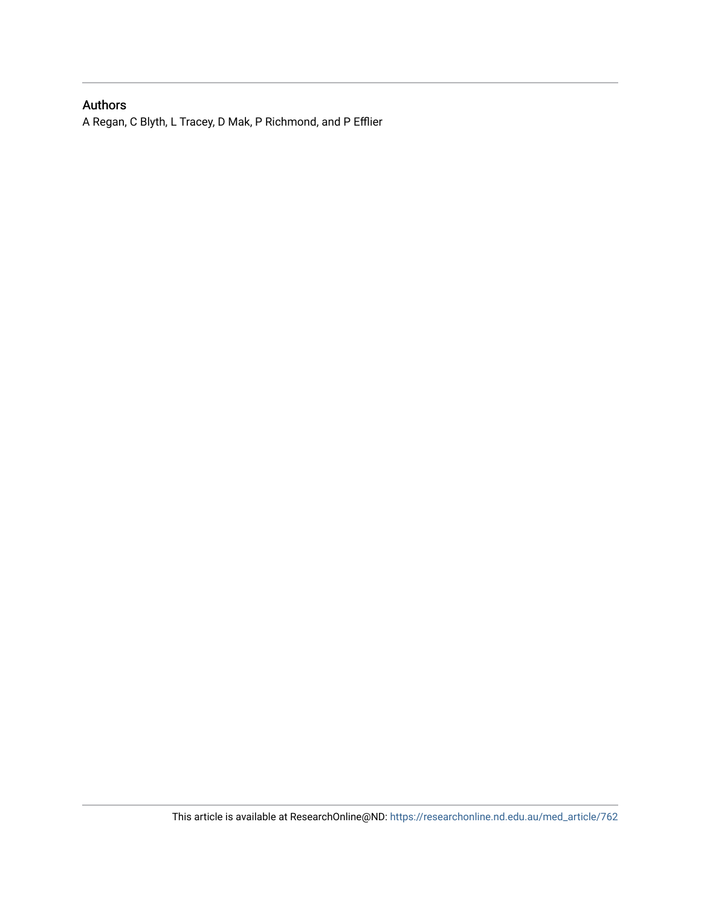# Authors

A Regan, C Blyth, L Tracey, D Mak, P Richmond, and P Efflier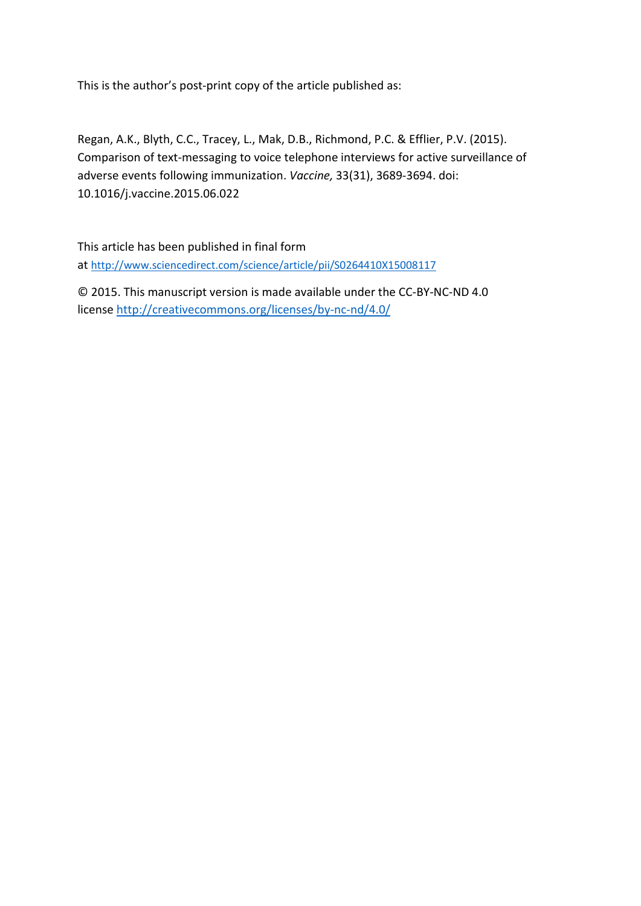This is the author's post-print copy of the article published as:

Regan, A.K., Blyth, C.C., Tracey, L., Mak, D.B., Richmond, P.C. & Efflier, P.V. (2015). Comparison of text-messaging to voice telephone interviews for active surveillance of adverse events following immunization. *Vaccine,* 33(31), 3689-3694. doi: 10.1016/j.vaccine.2015.06.022

This article has been published in final form at <http://www.sciencedirect.com/science/article/pii/S0264410X15008117>

© 2015. This manuscript version is made available under the CC-BY-NC-ND 4.0 license<http://creativecommons.org/licenses/by-nc-nd/4.0/>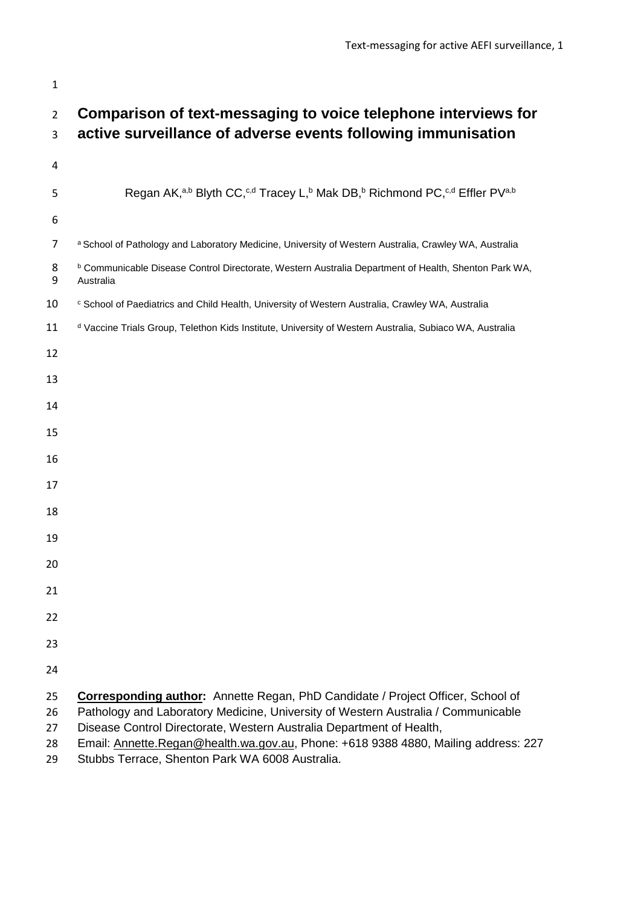| $\mathbf 1$          |                                                                                                                                                                                                                                                                                                                                                           |
|----------------------|-----------------------------------------------------------------------------------------------------------------------------------------------------------------------------------------------------------------------------------------------------------------------------------------------------------------------------------------------------------|
| $\overline{2}$       | Comparison of text-messaging to voice telephone interviews for                                                                                                                                                                                                                                                                                            |
| 3                    | active surveillance of adverse events following immunisation                                                                                                                                                                                                                                                                                              |
| 4                    |                                                                                                                                                                                                                                                                                                                                                           |
| 5                    | Regan AK, <sup>a,b</sup> Blyth CC, <sup>c,d</sup> Tracey L, <sup>b</sup> Mak DB, <sup>b</sup> Richmond PC, <sup>c,d</sup> Effler PV <sup>a,b</sup>                                                                                                                                                                                                        |
| 6                    |                                                                                                                                                                                                                                                                                                                                                           |
| 7                    | a School of Pathology and Laboratory Medicine, University of Western Australia, Crawley WA, Australia                                                                                                                                                                                                                                                     |
| 8<br>9               | <sup>b</sup> Communicable Disease Control Directorate, Western Australia Department of Health, Shenton Park WA,<br>Australia                                                                                                                                                                                                                              |
| 10                   | <sup>c</sup> School of Paediatrics and Child Health, University of Western Australia, Crawley WA, Australia                                                                                                                                                                                                                                               |
| 11                   | d Vaccine Trials Group, Telethon Kids Institute, University of Western Australia, Subiaco WA, Australia                                                                                                                                                                                                                                                   |
| 12                   |                                                                                                                                                                                                                                                                                                                                                           |
| 13                   |                                                                                                                                                                                                                                                                                                                                                           |
| 14                   |                                                                                                                                                                                                                                                                                                                                                           |
| 15                   |                                                                                                                                                                                                                                                                                                                                                           |
| 16                   |                                                                                                                                                                                                                                                                                                                                                           |
| 17                   |                                                                                                                                                                                                                                                                                                                                                           |
| 18                   |                                                                                                                                                                                                                                                                                                                                                           |
| 19                   |                                                                                                                                                                                                                                                                                                                                                           |
| 20                   |                                                                                                                                                                                                                                                                                                                                                           |
|                      |                                                                                                                                                                                                                                                                                                                                                           |
| 21                   |                                                                                                                                                                                                                                                                                                                                                           |
| 22                   |                                                                                                                                                                                                                                                                                                                                                           |
| 23                   |                                                                                                                                                                                                                                                                                                                                                           |
| 24                   |                                                                                                                                                                                                                                                                                                                                                           |
| 25<br>26<br>27<br>28 | <b>Corresponding author:</b> Annette Regan, PhD Candidate / Project Officer, School of<br>Pathology and Laboratory Medicine, University of Western Australia / Communicable<br>Disease Control Directorate, Western Australia Department of Health,<br>Email: Annette.Regan@health.wa.gov.au, Phone: +618 9388 4880, Mailing address: 227<br>$\mathbf{L}$ |

Stubbs Terrace, Shenton Park WA 6008 Australia.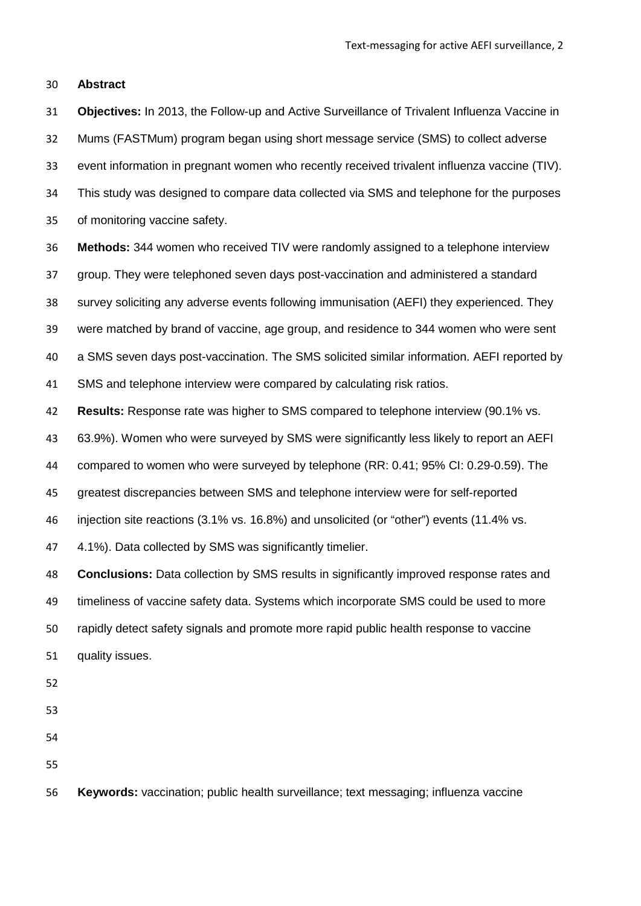**Abstract**

 **Objectives:** In 2013, the Follow-up and Active Surveillance of Trivalent Influenza Vaccine in Mums (FASTMum) program began using short message service (SMS) to collect adverse event information in pregnant women who recently received trivalent influenza vaccine (TIV). This study was designed to compare data collected via SMS and telephone for the purposes of monitoring vaccine safety. **Methods:** 344 women who received TIV were randomly assigned to a telephone interview group. They were telephoned seven days post-vaccination and administered a standard survey soliciting any adverse events following immunisation (AEFI) they experienced. They were matched by brand of vaccine, age group, and residence to 344 women who were sent a SMS seven days post-vaccination. The SMS solicited similar information. AEFI reported by SMS and telephone interview were compared by calculating risk ratios. **Results:** Response rate was higher to SMS compared to telephone interview (90.1% vs. 63.9%). Women who were surveyed by SMS were significantly less likely to report an AEFI compared to women who were surveyed by telephone (RR: 0.41; 95% CI: 0.29-0.59). The greatest discrepancies between SMS and telephone interview were for self-reported injection site reactions (3.1% vs. 16.8%) and unsolicited (or "other") events (11.4% vs. 4.1%). Data collected by SMS was significantly timelier. **Conclusions:** Data collection by SMS results in significantly improved response rates and timeliness of vaccine safety data. Systems which incorporate SMS could be used to more rapidly detect safety signals and promote more rapid public health response to vaccine

quality issues.

- 
- 
- 

**Keywords:** vaccination; public health surveillance; text messaging; influenza vaccine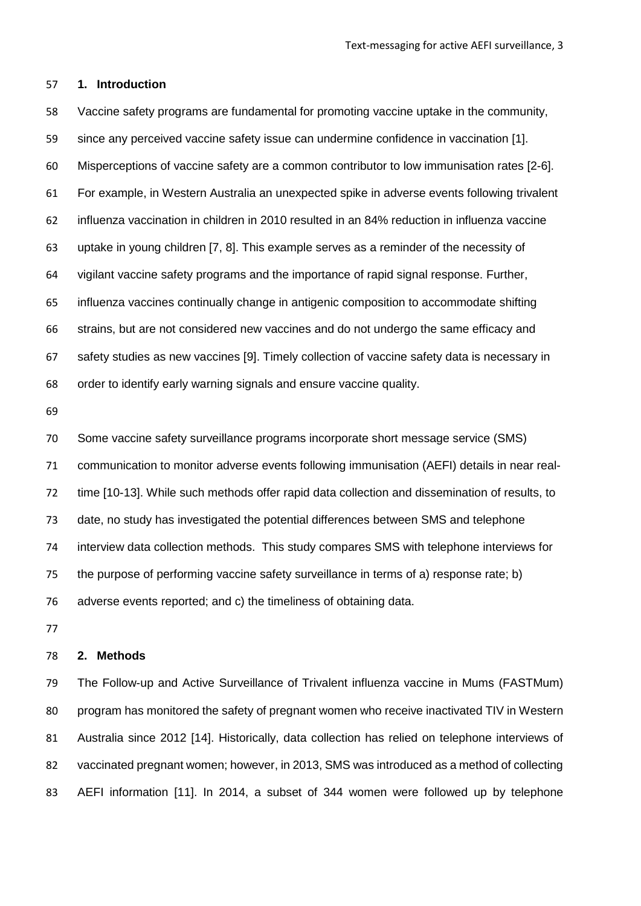## **1. Introduction**

 Vaccine safety programs are fundamental for promoting vaccine uptake in the community, since any perceived vaccine safety issue can undermine confidence in vaccination [1]. Misperceptions of vaccine safety are a common contributor to low immunisation rates [2-6]. For example, in Western Australia an unexpected spike in adverse events following trivalent influenza vaccination in children in 2010 resulted in an 84% reduction in influenza vaccine uptake in young children [7, 8]. This example serves as a reminder of the necessity of vigilant vaccine safety programs and the importance of rapid signal response. Further, influenza vaccines continually change in antigenic composition to accommodate shifting strains, but are not considered new vaccines and do not undergo the same efficacy and safety studies as new vaccines [9]. Timely collection of vaccine safety data is necessary in order to identify early warning signals and ensure vaccine quality.

 Some vaccine safety surveillance programs incorporate short message service (SMS) communication to monitor adverse events following immunisation (AEFI) details in near real- time [10-13]. While such methods offer rapid data collection and dissemination of results, to date, no study has investigated the potential differences between SMS and telephone interview data collection methods. This study compares SMS with telephone interviews for the purpose of performing vaccine safety surveillance in terms of a) response rate; b) adverse events reported; and c) the timeliness of obtaining data.

#### **2. Methods**

 The Follow-up and Active Surveillance of Trivalent influenza vaccine in Mums (FASTMum) program has monitored the safety of pregnant women who receive inactivated TIV in Western Australia since 2012 [14]. Historically, data collection has relied on telephone interviews of vaccinated pregnant women; however, in 2013, SMS was introduced as a method of collecting AEFI information [11]. In 2014, a subset of 344 women were followed up by telephone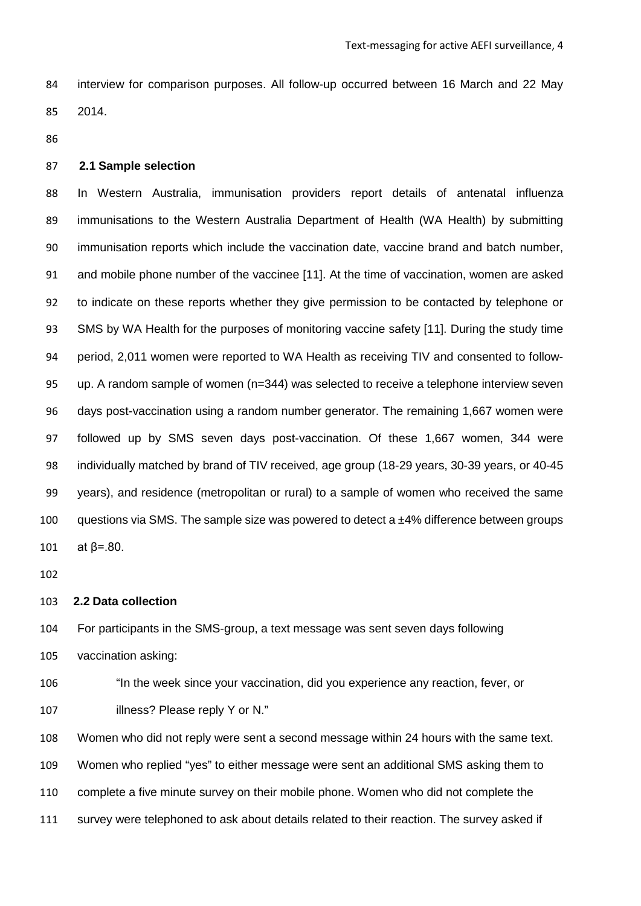interview for comparison purposes. All follow-up occurred between 16 March and 22 May 2014.

## **2.1 Sample selection**

 In Western Australia, immunisation providers report details of antenatal influenza immunisations to the Western Australia Department of Health (WA Health) by submitting immunisation reports which include the vaccination date, vaccine brand and batch number, and mobile phone number of the vaccinee [11]. At the time of vaccination, women are asked to indicate on these reports whether they give permission to be contacted by telephone or SMS by WA Health for the purposes of monitoring vaccine safety [11]. During the study time period, 2,011 women were reported to WA Health as receiving TIV and consented to follow- up. A random sample of women (n=344) was selected to receive a telephone interview seven days post-vaccination using a random number generator. The remaining 1,667 women were followed up by SMS seven days post-vaccination. Of these 1,667 women, 344 were individually matched by brand of TIV received, age group (18-29 years, 30-39 years, or 40-45 years), and residence (metropolitan or rural) to a sample of women who received the same 100 guestions via SMS. The sample size was powered to detect a  $\pm$ 4% difference between groups 101 at  $β = .80$ .

#### **2.2 Data collection**

 For participants in the SMS-group, a text message was sent seven days following vaccination asking:

 "In the week since your vaccination, did you experience any reaction, fever, or 107 illness? Please reply Y or N."

 Women who did not reply were sent a second message within 24 hours with the same text. Women who replied "yes" to either message were sent an additional SMS asking them to complete a five minute survey on their mobile phone. Women who did not complete the survey were telephoned to ask about details related to their reaction. The survey asked if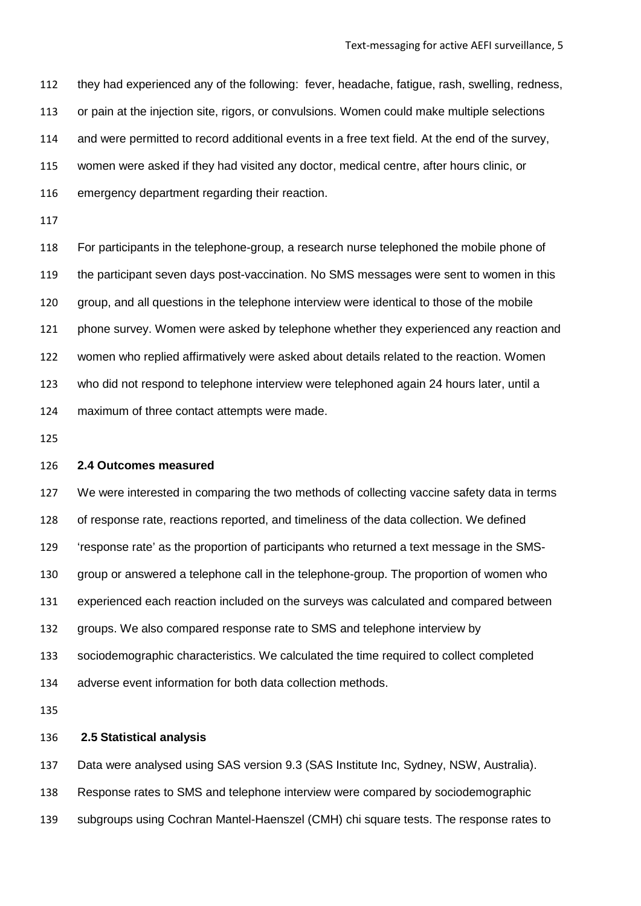they had experienced any of the following: fever, headache, fatigue, rash, swelling, redness, or pain at the injection site, rigors, or convulsions. Women could make multiple selections and were permitted to record additional events in a free text field. At the end of the survey, women were asked if they had visited any doctor, medical centre, after hours clinic, or emergency department regarding their reaction.

 For participants in the telephone-group, a research nurse telephoned the mobile phone of the participant seven days post-vaccination. No SMS messages were sent to women in this group, and all questions in the telephone interview were identical to those of the mobile phone survey. Women were asked by telephone whether they experienced any reaction and women who replied affirmatively were asked about details related to the reaction. Women who did not respond to telephone interview were telephoned again 24 hours later, until a maximum of three contact attempts were made.

## **2.4 Outcomes measured**

 We were interested in comparing the two methods of collecting vaccine safety data in terms of response rate, reactions reported, and timeliness of the data collection. We defined 'response rate' as the proportion of participants who returned a text message in the SMS- group or answered a telephone call in the telephone-group. The proportion of women who experienced each reaction included on the surveys was calculated and compared between groups. We also compared response rate to SMS and telephone interview by sociodemographic characteristics. We calculated the time required to collect completed adverse event information for both data collection methods.

## **2.5 Statistical analysis**

Data were analysed using SAS version 9.3 (SAS Institute Inc, Sydney, NSW, Australia).

Response rates to SMS and telephone interview were compared by sociodemographic

subgroups using Cochran Mantel-Haenszel (CMH) chi square tests. The response rates to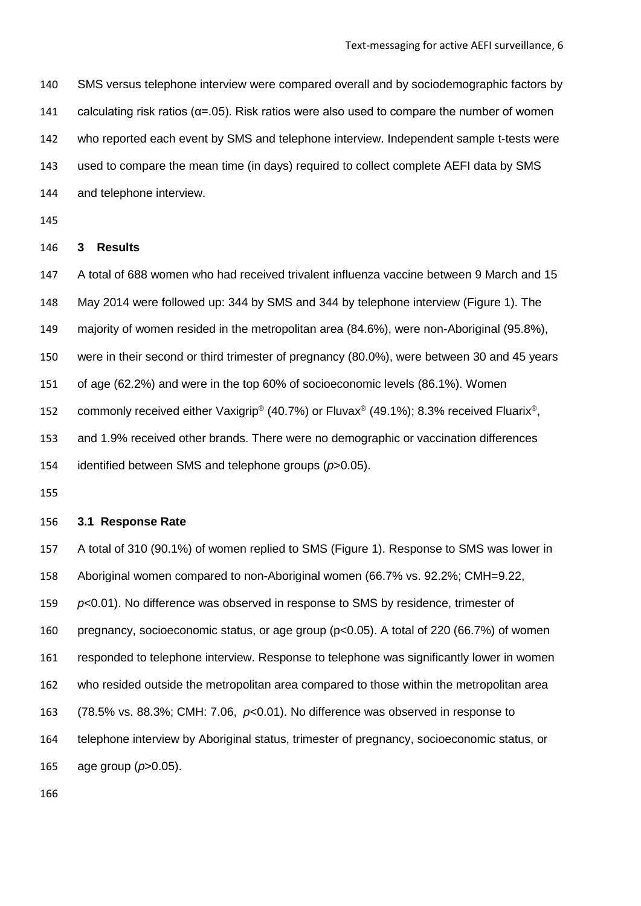SMS versus telephone interview were compared overall and by sociodemographic factors by 141 calculating risk ratios ( $\alpha$ =.05). Risk ratios were also used to compare the number of women who reported each event by SMS and telephone interview. Independent sample t-tests were used to compare the mean time (in days) required to collect complete AEFI data by SMS and telephone interview.

#### **3 Results**

 A total of 688 women who had received trivalent influenza vaccine between 9 March and 15 May 2014 were followed up: 344 by SMS and 344 by telephone interview (Figure 1). The majority of women resided in the metropolitan area (84.6%), were non-Aboriginal (95.8%), were in their second or third trimester of pregnancy (80.0%), were between 30 and 45 years of age (62.2%) and were in the top 60% of socioeconomic levels (86.1%). Women 152 commonly received either Vaxigrip® (40.7%) or Fluvax® (49.1%); 8.3% received Fluarix®, and 1.9% received other brands. There were no demographic or vaccination differences identified between SMS and telephone groups (*p*>0.05).

#### **3.1 Response Rate**

 A total of 310 (90.1%) of women replied to SMS (Figure 1). Response to SMS was lower in Aboriginal women compared to non-Aboriginal women (66.7% vs. 92.2%; CMH=9.22, *p*<0.01). No difference was observed in response to SMS by residence, trimester of pregnancy, socioeconomic status, or age group (p<0.05). A total of 220 (66.7%) of women

responded to telephone interview. Response to telephone was significantly lower in women

who resided outside the metropolitan area compared to those within the metropolitan area

(78.5% vs. 88.3%; CMH: 7.06, *p*<0.01). No difference was observed in response to

telephone interview by Aboriginal status, trimester of pregnancy, socioeconomic status, or

age group (*p*>0.05).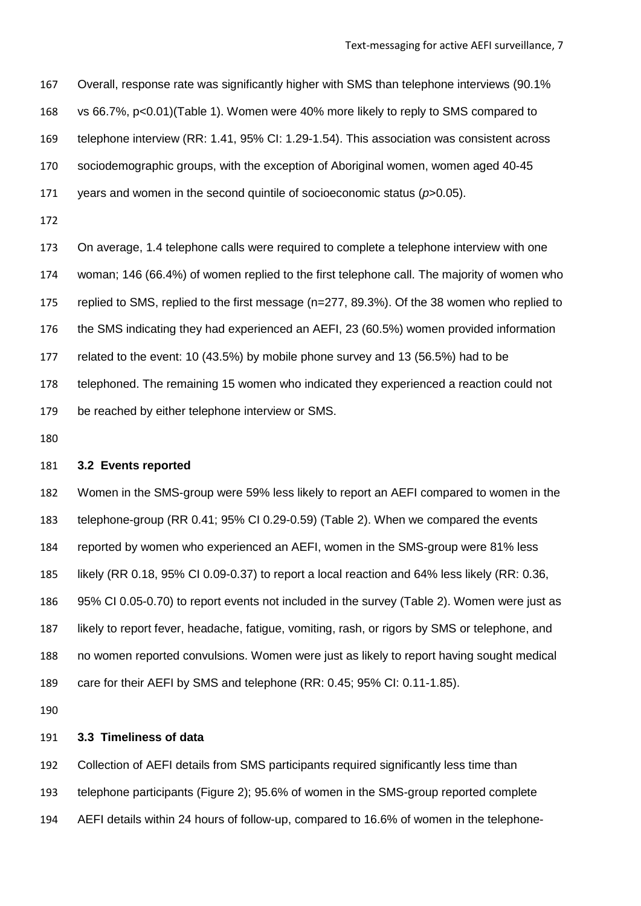Overall, response rate was significantly higher with SMS than telephone interviews (90.1% vs 66.7%, p<0.01)(Table 1). Women were 40% more likely to reply to SMS compared to telephone interview (RR: 1.41, 95% CI: 1.29-1.54). This association was consistent across sociodemographic groups, with the exception of Aboriginal women, women aged 40-45 years and women in the second quintile of socioeconomic status (*p*>0.05). On average, 1.4 telephone calls were required to complete a telephone interview with one woman; 146 (66.4%) of women replied to the first telephone call. The majority of women who replied to SMS, replied to the first message (n=277, 89.3%). Of the 38 women who replied to

the SMS indicating they had experienced an AEFI, 23 (60.5%) women provided information

related to the event: 10 (43.5%) by mobile phone survey and 13 (56.5%) had to be

 telephoned. The remaining 15 women who indicated they experienced a reaction could not be reached by either telephone interview or SMS.

## **3.2 Events reported**

 Women in the SMS-group were 59% less likely to report an AEFI compared to women in the telephone-group (RR 0.41; 95% CI 0.29-0.59) (Table 2). When we compared the events reported by women who experienced an AEFI, women in the SMS-group were 81% less likely (RR 0.18, 95% CI 0.09-0.37) to report a local reaction and 64% less likely (RR: 0.36, 95% CI 0.05-0.70) to report events not included in the survey (Table 2). Women were just as likely to report fever, headache, fatigue, vomiting, rash, or rigors by SMS or telephone, and no women reported convulsions. Women were just as likely to report having sought medical care for their AEFI by SMS and telephone (RR: 0.45; 95% CI: 0.11-1.85).

## **3.3 Timeliness of data**

Collection of AEFI details from SMS participants required significantly less time than

telephone participants (Figure 2); 95.6% of women in the SMS-group reported complete

AEFI details within 24 hours of follow-up, compared to 16.6% of women in the telephone-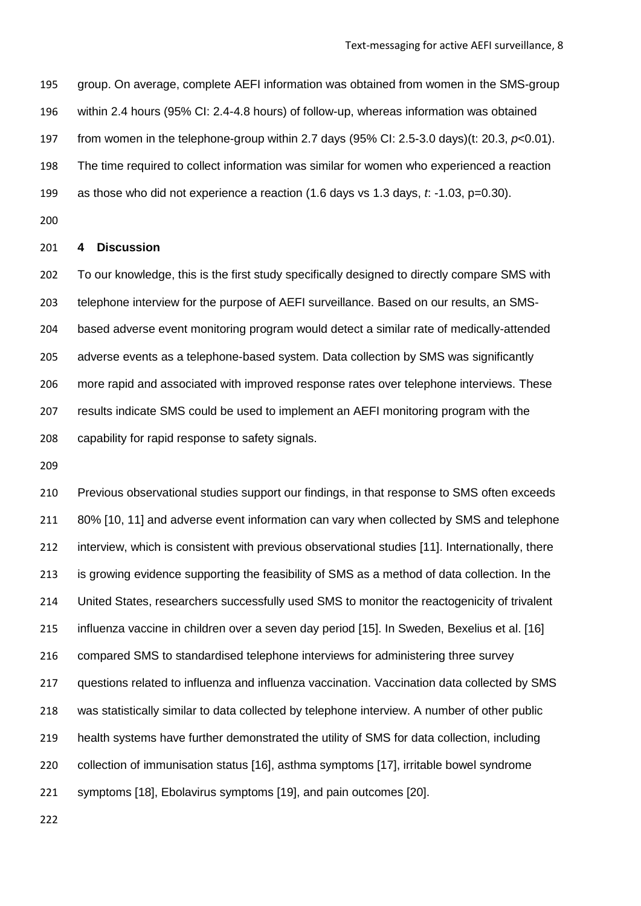group. On average, complete AEFI information was obtained from women in the SMS-group within 2.4 hours (95% CI: 2.4-4.8 hours) of follow-up, whereas information was obtained from women in the telephone-group within 2.7 days (95% CI: 2.5-3.0 days)(t: 20.3, *p*<0.01). The time required to collect information was similar for women who experienced a reaction as those who did not experience a reaction (1.6 days vs 1.3 days, *t*: -1.03, p=0.30).

## **4 Discussion**

 To our knowledge, this is the first study specifically designed to directly compare SMS with telephone interview for the purpose of AEFI surveillance. Based on our results, an SMS- based adverse event monitoring program would detect a similar rate of medically-attended adverse events as a telephone-based system. Data collection by SMS was significantly more rapid and associated with improved response rates over telephone interviews. These results indicate SMS could be used to implement an AEFI monitoring program with the capability for rapid response to safety signals.

 Previous observational studies support our findings, in that response to SMS often exceeds 80% [10, 11] and adverse event information can vary when collected by SMS and telephone interview, which is consistent with previous observational studies [11]. Internationally, there is growing evidence supporting the feasibility of SMS as a method of data collection. In the United States, researchers successfully used SMS to monitor the reactogenicity of trivalent influenza vaccine in children over a seven day period [15]. In Sweden, Bexelius et al. [16] compared SMS to standardised telephone interviews for administering three survey questions related to influenza and influenza vaccination. Vaccination data collected by SMS was statistically similar to data collected by telephone interview. A number of other public health systems have further demonstrated the utility of SMS for data collection, including collection of immunisation status [16], asthma symptoms [17], irritable bowel syndrome symptoms [18], Ebolavirus symptoms [19], and pain outcomes [20].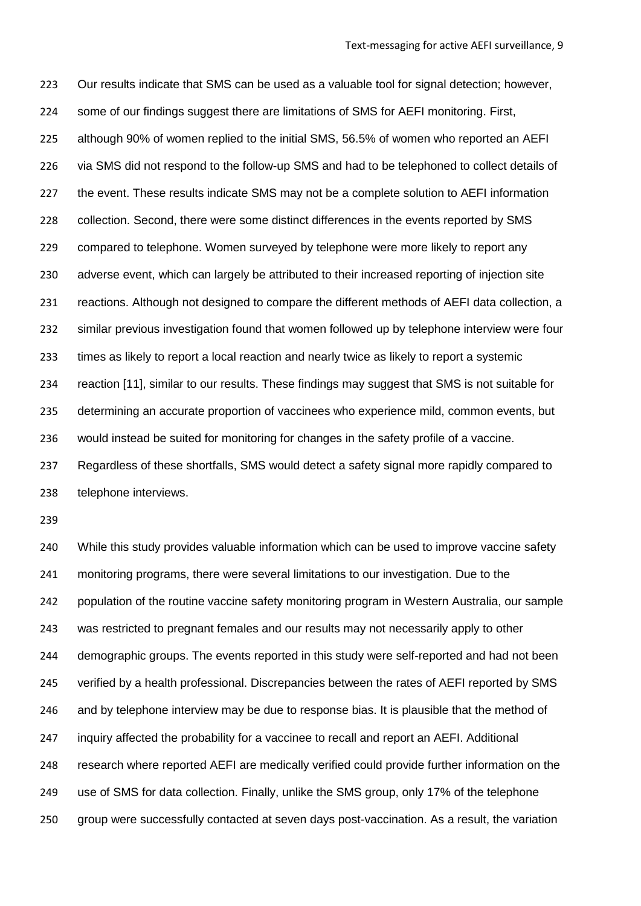Our results indicate that SMS can be used as a valuable tool for signal detection; however, some of our findings suggest there are limitations of SMS for AEFI monitoring. First, although 90% of women replied to the initial SMS, 56.5% of women who reported an AEFI via SMS did not respond to the follow-up SMS and had to be telephoned to collect details of 227 the event. These results indicate SMS may not be a complete solution to AEFI information collection. Second, there were some distinct differences in the events reported by SMS compared to telephone. Women surveyed by telephone were more likely to report any adverse event, which can largely be attributed to their increased reporting of injection site reactions. Although not designed to compare the different methods of AEFI data collection, a similar previous investigation found that women followed up by telephone interview were four times as likely to report a local reaction and nearly twice as likely to report a systemic reaction [11], similar to our results. These findings may suggest that SMS is not suitable for determining an accurate proportion of vaccinees who experience mild, common events, but would instead be suited for monitoring for changes in the safety profile of a vaccine. Regardless of these shortfalls, SMS would detect a safety signal more rapidly compared to telephone interviews.

240 While this study provides valuable information which can be used to improve vaccine safety monitoring programs, there were several limitations to our investigation. Due to the population of the routine vaccine safety monitoring program in Western Australia, our sample was restricted to pregnant females and our results may not necessarily apply to other demographic groups. The events reported in this study were self-reported and had not been verified by a health professional. Discrepancies between the rates of AEFI reported by SMS 246 and by telephone interview may be due to response bias. It is plausible that the method of inquiry affected the probability for a vaccinee to recall and report an AEFI. Additional research where reported AEFI are medically verified could provide further information on the use of SMS for data collection. Finally, unlike the SMS group, only 17% of the telephone group were successfully contacted at seven days post-vaccination. As a result, the variation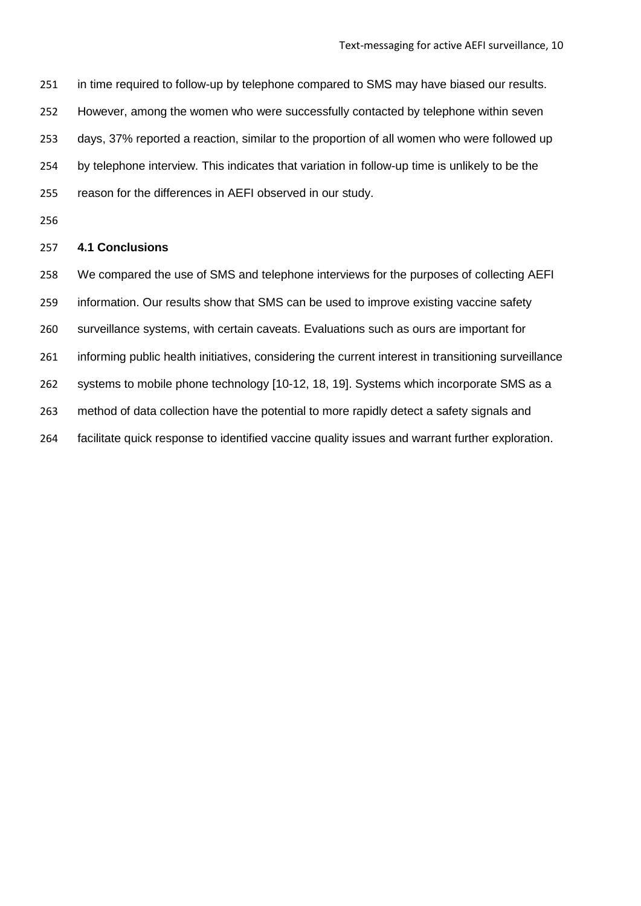in time required to follow-up by telephone compared to SMS may have biased our results. However, among the women who were successfully contacted by telephone within seven days, 37% reported a reaction, similar to the proportion of all women who were followed up by telephone interview. This indicates that variation in follow-up time is unlikely to be the reason for the differences in AEFI observed in our study.

## **4.1 Conclusions**

We compared the use of SMS and telephone interviews for the purposes of collecting AEFI

information. Our results show that SMS can be used to improve existing vaccine safety

surveillance systems, with certain caveats. Evaluations such as ours are important for

informing public health initiatives, considering the current interest in transitioning surveillance

systems to mobile phone technology [10-12, 18, 19]. Systems which incorporate SMS as a

method of data collection have the potential to more rapidly detect a safety signals and

facilitate quick response to identified vaccine quality issues and warrant further exploration.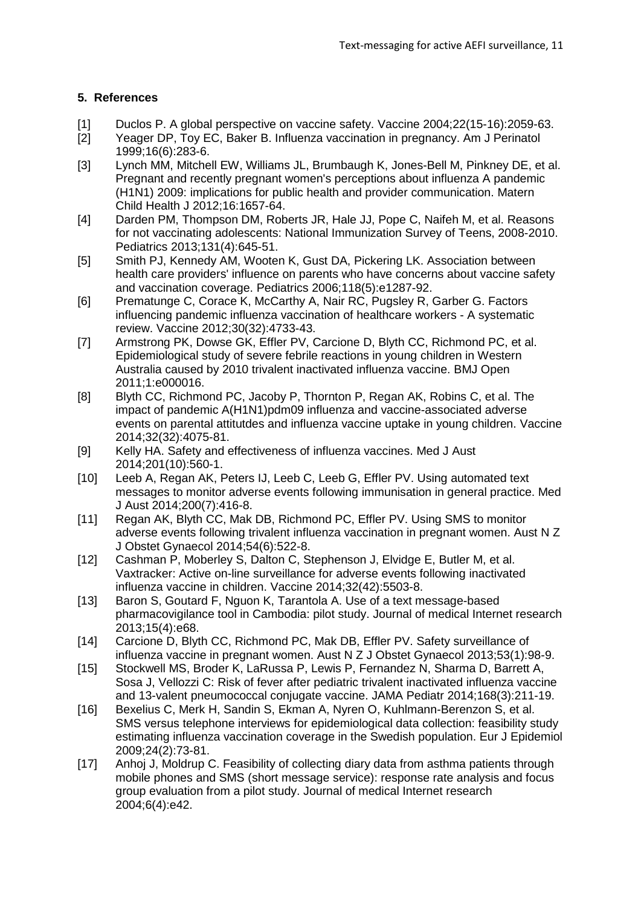# **5. References**

- [1] Duclos P. A global perspective on vaccine safety. Vaccine 2004;22(15-16):2059-63.<br>[2] Yeager DP, Toy EC, Baker B. Influenza vaccination in pregnancy. Am J Perinatol
- Yeager DP, Toy EC, Baker B. Influenza vaccination in pregnancy. Am J Perinatol 1999;16(6):283-6.
- [3] Lynch MM, Mitchell EW, Williams JL, Brumbaugh K, Jones-Bell M, Pinkney DE, et al. Pregnant and recently pregnant women's perceptions about influenza A pandemic (H1N1) 2009: implications for public health and provider communication. Matern Child Health J 2012;16:1657-64.
- [4] Darden PM, Thompson DM, Roberts JR, Hale JJ, Pope C, Naifeh M, et al. Reasons for not vaccinating adolescents: National Immunization Survey of Teens, 2008-2010. Pediatrics 2013;131(4):645-51.
- [5] Smith PJ, Kennedy AM, Wooten K, Gust DA, Pickering LK. Association between health care providers' influence on parents who have concerns about vaccine safety and vaccination coverage. Pediatrics 2006;118(5):e1287-92.
- [6] Prematunge C, Corace K, McCarthy A, Nair RC, Pugsley R, Garber G. Factors influencing pandemic influenza vaccination of healthcare workers - A systematic review. Vaccine 2012;30(32):4733-43.
- [7] Armstrong PK, Dowse GK, Effler PV, Carcione D, Blyth CC, Richmond PC, et al. Epidemiological study of severe febrile reactions in young children in Western Australia caused by 2010 trivalent inactivated influenza vaccine. BMJ Open 2011;1:e000016.
- [8] Blyth CC, Richmond PC, Jacoby P, Thornton P, Regan AK, Robins C, et al. The impact of pandemic A(H1N1)pdm09 influenza and vaccine-associated adverse events on parental attitutdes and influenza vaccine uptake in young children. Vaccine 2014;32(32):4075-81.
- [9] Kelly HA. Safety and effectiveness of influenza vaccines. Med J Aust 2014;201(10):560-1.
- [10] Leeb A, Regan AK, Peters IJ, Leeb C, Leeb G, Effler PV. Using automated text messages to monitor adverse events following immunisation in general practice. Med J Aust 2014;200(7):416-8.
- [11] Regan AK, Blyth CC, Mak DB, Richmond PC, Effler PV. Using SMS to monitor adverse events following trivalent influenza vaccination in pregnant women. Aust N Z J Obstet Gynaecol 2014;54(6):522-8.
- [12] Cashman P, Moberley S, Dalton C, Stephenson J, Elvidge E, Butler M, et al. Vaxtracker: Active on-line surveillance for adverse events following inactivated influenza vaccine in children. Vaccine 2014;32(42):5503-8.
- [13] Baron S, Goutard F, Nguon K, Tarantola A. Use of a text message-based pharmacovigilance tool in Cambodia: pilot study. Journal of medical Internet research 2013;15(4):e68.
- [14] Carcione D, Blyth CC, Richmond PC, Mak DB, Effler PV. Safety surveillance of influenza vaccine in pregnant women. Aust N Z J Obstet Gynaecol 2013;53(1):98-9.
- [15] Stockwell MS, Broder K, LaRussa P, Lewis P, Fernandez N, Sharma D, Barrett A, Sosa J, Vellozzi C: Risk of fever after pediatric trivalent inactivated influenza vaccine and 13-valent pneumococcal conjugate vaccine. JAMA Pediatr 2014;168(3):211-19.
- [16] Bexelius C, Merk H, Sandin S, Ekman A, Nyren O, Kuhlmann-Berenzon S, et al. SMS versus telephone interviews for epidemiological data collection: feasibility study estimating influenza vaccination coverage in the Swedish population. Eur J Epidemiol 2009;24(2):73-81.
- [17] Anhoj J, Moldrup C. Feasibility of collecting diary data from asthma patients through mobile phones and SMS (short message service): response rate analysis and focus group evaluation from a pilot study. Journal of medical Internet research 2004;6(4):e42.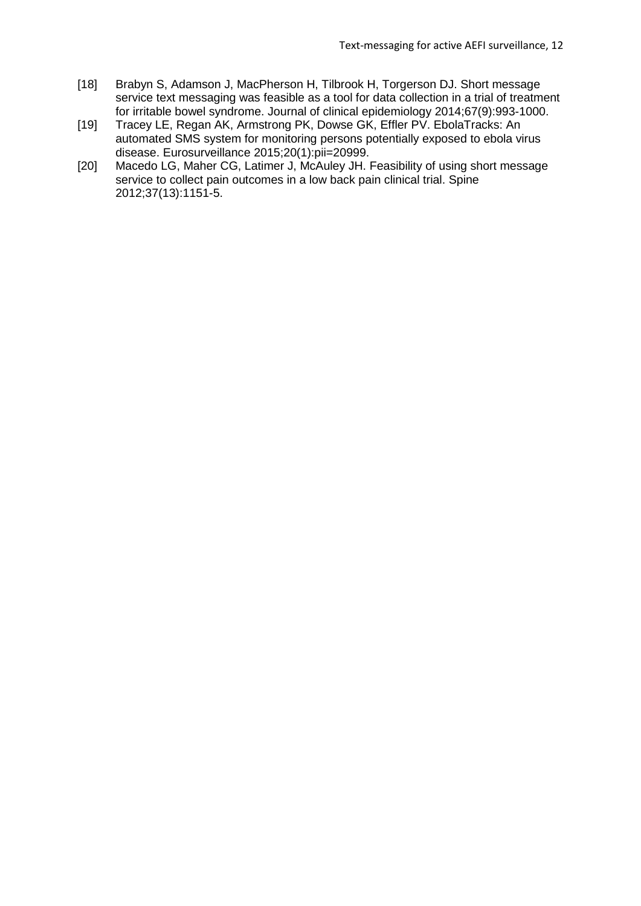- [18] Brabyn S, Adamson J, MacPherson H, Tilbrook H, Torgerson DJ. Short message service text messaging was feasible as a tool for data collection in a trial of treatment for irritable bowel syndrome. Journal of clinical epidemiology 2014;67(9):993-1000.
- [19] Tracey LE, Regan AK, Armstrong PK, Dowse GK, Effler PV. EbolaTracks: An automated SMS system for monitoring persons potentially exposed to ebola virus disease. Eurosurveillance 2015;20(1):pii=20999.
- [20] Macedo LG, Maher CG, Latimer J, McAuley JH. Feasibility of using short message service to collect pain outcomes in a low back pain clinical trial. Spine 2012;37(13):1151-5.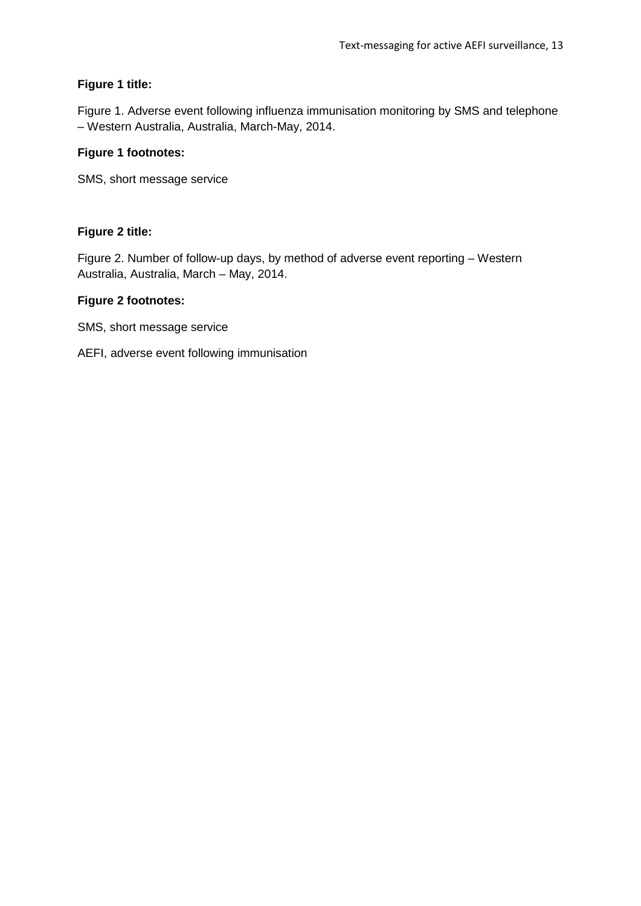# **Figure 1 title:**

Figure 1. Adverse event following influenza immunisation monitoring by SMS and telephone – Western Australia, Australia, March-May, 2014.

# **Figure 1 footnotes:**

SMS, short message service

# **Figure 2 title:**

Figure 2. Number of follow-up days, by method of adverse event reporting – Western Australia, Australia, March – May, 2014.

# **Figure 2 footnotes:**

SMS, short message service

AEFI, adverse event following immunisation